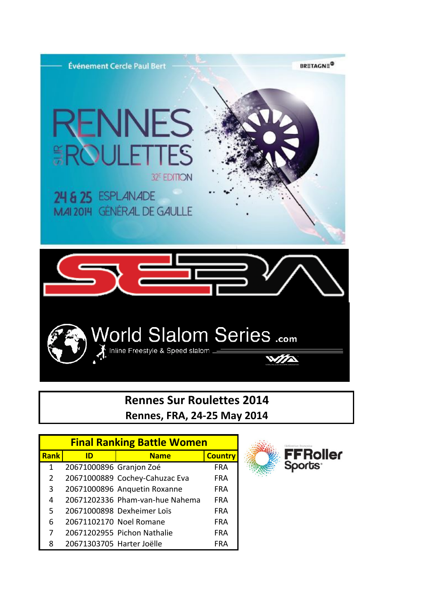

## **Rennes Sur Roulettes 2014 Rennes, FRA, 24-25 May 2014**

| <b>Final Ranking Battle Women</b> |                           |                                 |                |  |  |
|-----------------------------------|---------------------------|---------------------------------|----------------|--|--|
| <b>Rank</b>                       | ID                        | <b>Name</b>                     | <b>Country</b> |  |  |
| 1                                 | 20671000896 Granjon Zoé   |                                 | <b>FRA</b>     |  |  |
| 2                                 |                           | 20671000889 Cochey-Cahuzac Eva  | FRA            |  |  |
| 3                                 |                           | 20671000896 Anquetin Roxanne    | <b>FRA</b>     |  |  |
| 4                                 |                           | 20671202336 Pham-van-hue Nahema | <b>FRA</b>     |  |  |
| 5                                 |                           | 20671000898 Dexheimer Loïs      | <b>FRA</b>     |  |  |
| 6                                 | 20671102170 Noel Romane   |                                 | <b>FRA</b>     |  |  |
| 7                                 |                           | 20671202955 Pichon Nathalie     | <b>FRA</b>     |  |  |
| 8                                 | 20671303705 Harter Joëlle |                                 | FRA            |  |  |

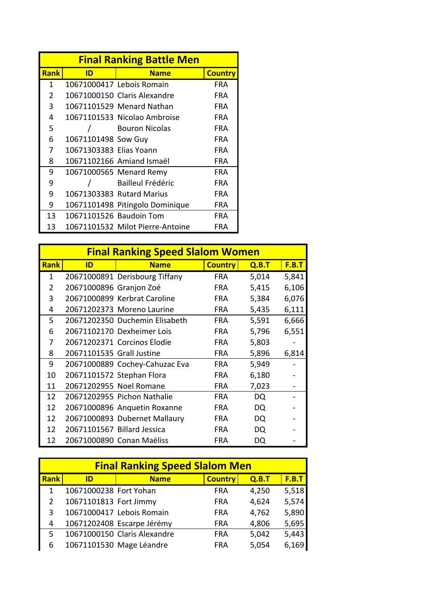| <b>Final Ranking Battle Men</b> |                         |                                  |                |  |  |
|---------------------------------|-------------------------|----------------------------------|----------------|--|--|
| <b>Rank</b>                     | ID                      | <b>Name</b>                      | <b>Country</b> |  |  |
| $\mathbf{1}$                    |                         | 10671000417 Lebois Romain        | <b>FRA</b>     |  |  |
| 2                               |                         | 10671000150 Claris Alexandre     | <b>FRA</b>     |  |  |
| 3                               |                         | 10671101529 Menard Nathan        | <b>FRA</b>     |  |  |
| 4                               |                         | 10671101533 Nicolao Ambroise     | FRA            |  |  |
| 5                               |                         | <b>Bouron Nicolas</b>            | <b>FRA</b>     |  |  |
| 6                               | 10671101498 Sow Guy     |                                  | <b>FRA</b>     |  |  |
| 7                               | 10671303383 Elias Yoann |                                  | FRA            |  |  |
| 8                               |                         | 10671102166 Amiand Ismaël        | FRA            |  |  |
| 9                               |                         | 10671000565 Menard Remy          | <b>FRA</b>     |  |  |
| 9                               |                         | <b>Bailleul Frédéric</b>         | <b>FRA</b>     |  |  |
| 9                               |                         | 10671303383 Rutard Marius        | FRA            |  |  |
| 9                               |                         | 10671101498 Pitingolo Dominique  | <b>FRA</b>     |  |  |
| 13                              | 10671101526 Baudoin Tom |                                  | FRA            |  |  |
| 13                              |                         | 10671101532 Milot Pierre-Antoine | FRA            |  |  |

|             | <b>Final Ranking Speed Slalom Women</b> |                                |                |       |              |  |
|-------------|-----------------------------------------|--------------------------------|----------------|-------|--------------|--|
| <b>Rank</b> | ID                                      | <b>Name</b>                    | <b>Country</b> | Q.B.T | <u>F.B.T</u> |  |
| 1           |                                         | 20671000891 Derisbourg Tiffany | <b>FRA</b>     | 5,014 | 5,841        |  |
| 2           | 20671000896 Granjon Zoé                 |                                | <b>FRA</b>     | 5,415 | 6,106        |  |
| 3           |                                         | 20671000899 Kerbrat Caroline   | <b>FRA</b>     | 5,384 | 6,076        |  |
| 4           |                                         | 20671202373 Moreno Laurine     | <b>FRA</b>     | 5,435 | 6,111        |  |
| 5           |                                         | 20671202350 Duchemin Elisabeth | <b>FRA</b>     | 5,591 | 6,666        |  |
| 6           |                                         | 20671102170 Dexheimer Lois     | <b>FRA</b>     | 5,796 | 6,551        |  |
| 7           |                                         | 20671202371 Corcinos Elodie    | <b>FRA</b>     | 5,803 |              |  |
| 8           | 20671101535 Grall Justine               |                                | <b>FRA</b>     | 5,896 | 6,814        |  |
| 9           |                                         | 20671000889 Cochey-Cahuzac Eva | <b>FRA</b>     | 5,949 |              |  |
| 10          |                                         | 20671101572 Stephan Flora      | <b>FRA</b>     | 6,180 |              |  |
| 11          | 20671202955 Noel Romane                 |                                | <b>FRA</b>     | 7,023 |              |  |
| 12          |                                         | 20671202955 Pichon Nathalie    | <b>FRA</b>     | DQ    |              |  |
| 12          |                                         | 20671000896 Anquetin Roxanne   | <b>FRA</b>     | DQ    |              |  |
| 12          |                                         | 20671000893 Dubernet Mallaury  | <b>FRA</b>     | DQ    |              |  |
| 12          |                                         | 20671101567 Billard Jessica    | <b>FRA</b>     | DQ    |              |  |
| 12          |                                         | 20671000890 Conan Maëliss      | FRA            | DQ    |              |  |

| <b>Final Ranking Speed Slalom Men</b> |                        |                              |                |       |              |
|---------------------------------------|------------------------|------------------------------|----------------|-------|--------------|
| Rank                                  | ID                     | <b>Name</b>                  | <b>Country</b> | Q.B.T | <b>F.B.T</b> |
| 1                                     | 10671000238 Fort Yohan |                              | <b>FRA</b>     | 4,250 | 5,518        |
| $\overline{2}$                        | 10671101813 Fort Jimmy |                              | <b>FRA</b>     | 4,624 | 5,574        |
| 3                                     |                        | 10671000417 Lebois Romain    | <b>FRA</b>     | 4,762 | 5,890        |
| 4                                     |                        | 10671202408 Escarpe Jérémy   | <b>FRA</b>     | 4,806 | 5,695        |
| 5                                     |                        | 10671000150 Claris Alexandre | <b>FRA</b>     | 5,042 | 5,443        |
| 6                                     |                        | 10671101530 Mage Léandre     | <b>FRA</b>     | 5,054 | 6,169        |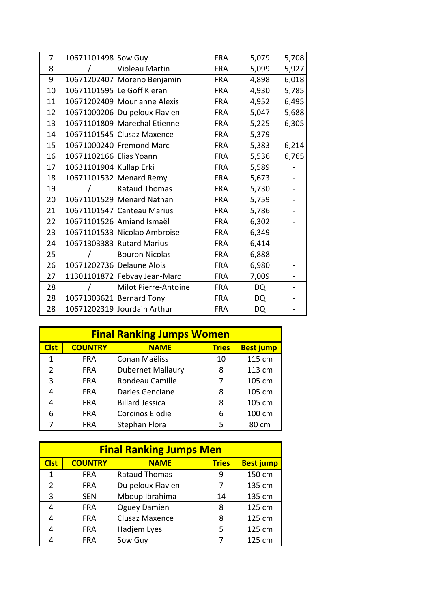| 7  | 10671101498 Sow Guy     |                               | <b>FRA</b> | 5,079 | 5,708 |
|----|-------------------------|-------------------------------|------------|-------|-------|
| 8  |                         | Violeau Martin                | <b>FRA</b> | 5,099 | 5,927 |
| 9  |                         | 10671202407 Moreno Benjamin   | <b>FRA</b> | 4,898 | 6,018 |
| 10 |                         | 10671101595 Le Goff Kieran    | <b>FRA</b> | 4,930 | 5,785 |
| 11 |                         | 10671202409 Mourlanne Alexis  | <b>FRA</b> | 4,952 | 6,495 |
| 12 |                         | 10671000206 Du peloux Flavien | <b>FRA</b> | 5,047 | 5,688 |
| 13 |                         | 10671101809 Marechal Etienne  | <b>FRA</b> | 5,225 | 6,305 |
| 14 |                         | 10671101545 Clusaz Maxence    | <b>FRA</b> | 5,379 |       |
| 15 |                         | 10671000240 Fremond Marc      | <b>FRA</b> | 5,383 | 6,214 |
| 16 | 10671102166 Elias Yoann |                               | <b>FRA</b> | 5,536 | 6,765 |
| 17 | 10631101904 Kullap Erki |                               | <b>FRA</b> | 5,589 |       |
| 18 |                         | 10671101532 Menard Remy       | <b>FRA</b> | 5,673 |       |
| 19 |                         | Rataud Thomas                 | <b>FRA</b> | 5,730 |       |
| 20 |                         | 10671101529 Menard Nathan     | <b>FRA</b> | 5,759 |       |
| 21 |                         | 10671101547 Canteau Marius    | <b>FRA</b> | 5,786 |       |
| 22 |                         | 10671101526 Amiand Ismaël     | <b>FRA</b> | 6,302 |       |
| 23 |                         | 10671101533 Nicolao Ambroise  | <b>FRA</b> | 6,349 |       |
| 24 |                         | 10671303383 Rutard Marius     | <b>FRA</b> | 6,414 |       |
| 25 |                         | <b>Bouron Nicolas</b>         | <b>FRA</b> | 6,888 |       |
| 26 |                         | 10671202736 Delaune Alois     | <b>FRA</b> | 6,980 |       |
| 27 |                         | 11301101872 Febvay Jean-Marc  | <b>FRA</b> | 7,009 |       |
| 28 |                         | Milot Pierre-Antoine          | <b>FRA</b> | DQ    |       |
| 28 |                         | 10671303621 Bernard Tony      | <b>FRA</b> | DQ    |       |
| 28 |                         | 10671202319 Jourdain Arthur   | <b>FRA</b> | DQ    |       |

| <b>Final Ranking Jumps Women</b> |                |                          |              |                  |  |
|----------------------------------|----------------|--------------------------|--------------|------------------|--|
| <b>Clst</b>                      | <b>COUNTRY</b> | <b>NAME</b>              | <b>Tries</b> | <b>Best jump</b> |  |
| 1                                | <b>FRA</b>     | Conan Maëliss            | 10           | 115 cm           |  |
| 2                                | FRA            | <b>Dubernet Mallaury</b> | 8            | 113 cm           |  |
| 3                                | <b>FRA</b>     | Rondeau Camille          | 7            | 105 cm           |  |
| 4                                | <b>FRA</b>     | Daries Genciane          | 8            | 105 cm           |  |
| 4                                | <b>FRA</b>     | <b>Billard Jessica</b>   | 8            | 105 cm           |  |
| 6                                | FRA            | <b>Corcinos Elodie</b>   | 6            | 100 cm           |  |
|                                  | FRA            | Stephan Flora            | 5            | 80 cm            |  |

| <b>Final Ranking Jumps Men</b> |                |                      |              |                  |  |
|--------------------------------|----------------|----------------------|--------------|------------------|--|
| <b>Clst</b>                    | <b>COUNTRY</b> | <b>NAME</b>          | <b>Tries</b> | <b>Best jump</b> |  |
| 1                              | <b>FRA</b>     | <b>Rataud Thomas</b> | 9            | 150 cm           |  |
| 2                              | <b>FRA</b>     | Du peloux Flavien    | 7            | 135 cm           |  |
| 3                              | <b>SEN</b>     | Mboup Ibrahima       | 14           | 135 cm           |  |
| 4                              | <b>FRA</b>     | <b>Oguey Damien</b>  | 8            | 125 cm           |  |
| 4                              | <b>FRA</b>     | Clusaz Maxence       | 8            | 125 cm           |  |
| 4                              | <b>FRA</b>     | Hadjem Lyes          | 5            | 125 cm           |  |
|                                | <b>FRA</b>     | Sow Guy              |              | 125 cm           |  |